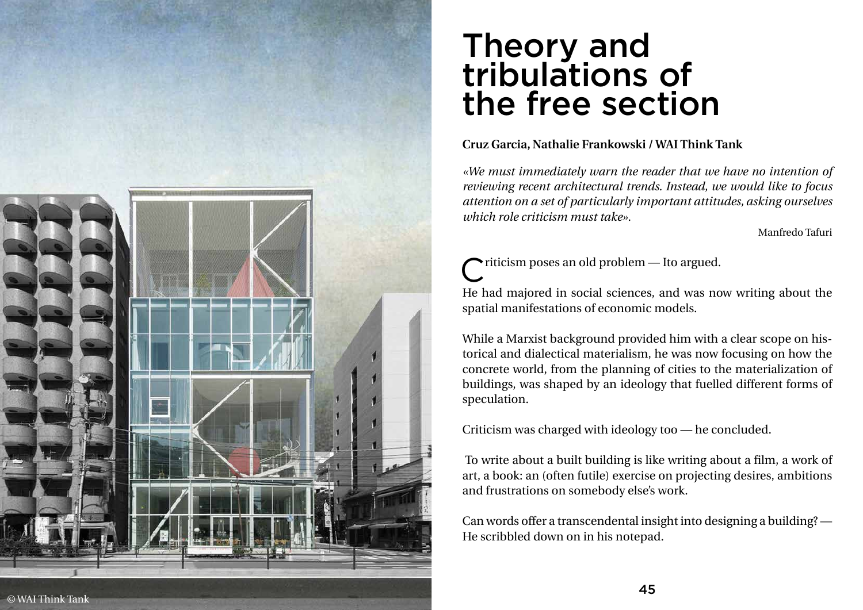

## Theory and tribulations of the free section

**Cruz Garcia, Nathalie Frankowski / WAI Think Tank**

*«We must immediately warn the reader that we have no intention of reviewing recent architectural trends. Instead, we would like to focus attention on a set of particularly important attitudes, asking ourselves which role criticism must take».*

riticism poses an old problem - Ito argued. He had majored in social sciences, and was now writing about the spatial manifestations of economic models.

Manfredo Tafuri

- 
- 

While a Marxist background provided him with a clear scope on his torical and dialectical materialism, he was now focusing on how the concrete world, from the planning of cities to the materialization of buildings, was shaped by an ideology that fuelled different forms of speculation.

Criticism was charged with ideology too — he concluded.

 To write about a built building is like writing about a film, a work of art, a book: an (often futile) exercise on projecting desires, ambitions and frustrations on somebody else's work.

Can words offer a transcendental insight into designing a building? — He scribbled down on in his notepad.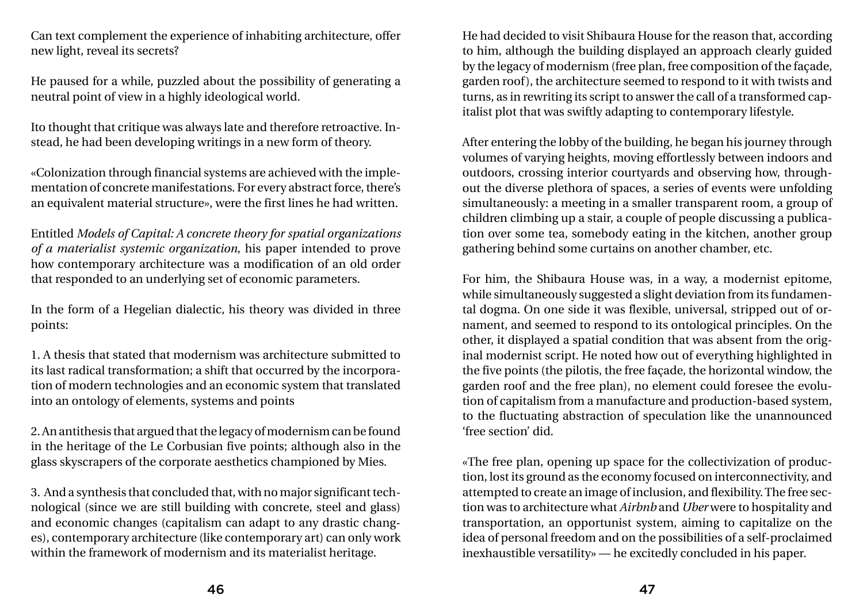Can text complement the experience of inhabiting architecture, offer new light, reveal its secrets?

He paused for a while, puzzled about the possibility of generating a neutral point of view in a highly ideological world.

Ito thought that critique was always late and therefore retroactive. Instead, he had been developing writings in a new form of theory.

«Colonization through financial systems are achieved with the implementation of concrete manifestations. For every abstract force, there's an equivalent material structure», were the first lines he had written.

Entitled *Models of Capital: A concrete theory for spatial organizations of a materialist systemic organization*, his paper intended to prove how contemporary architecture was a modification of an old order that responded to an underlying set of economic parameters.

In the form of a Hegelian dialectic, his theory was divided in three points:

1. A thesis that stated that modernism was architecture submitted to its last radical transformation; a shift that occurred by the incorporation of modern technologies and an economic system that translated into an ontology of elements, systems and points

2. An antithesis that argued that the legacy of modernism can be found in the heritage of the Le Corbusian five points; although also in the glass skyscrapers of the corporate aesthetics championed by Mies.

3. And a synthesis that concluded that, with no major significant technological (since we are still building with concrete, steel and glass) and economic changes (capitalism can adapt to any drastic changes), contemporary architecture (like contemporary art) can only work within the framework of modernism and its materialist heritage.

He had decided to visit Shibaura House for the reason that, according to him, although the building displayed an approach clearly guided by the legacy of modernism (free plan, free composition of the façade, garden roof), the architecture seemed to respond to it with twists and turns, as in rewriting its script to answer the call of a transformed capitalist plot that was swiftly adapting to contemporary lifestyle.

After entering the lobby of the building, he began his journey through volumes of varying heights, moving effortlessly between indoors and outdoors, crossing interior courtyards and observing how, throughout the diverse plethora of spaces, a series of events were unfolding simultaneously: a meeting in a smaller transparent room, a group of children climbing up a stair, a couple of people discussing a publication over some tea, somebody eating in the kitchen, another group gathering behind some curtains on another chamber, etc.

For him, the Shibaura House was, in a way, a modernist epitome, while simultaneously suggested a slight deviation from its fundamental dogma. On one side it was flexible, universal, stripped out of ornament, and seemed to respond to its ontological principles. On the other, it displayed a spatial condition that was absent from the original modernist script. He noted how out of everything highlighted in the five points (the pilotis, the free façade, the horizontal window, the garden roof and the free plan), no element could foresee the evolution of capitalism from a manufacture and production-based system, to the fluctuating abstraction of speculation like the unannounced 'free section' did.

«The free plan, opening up space for the collectivization of production, lost its ground as the economy focused on interconnectivity, and attempted to create an image of inclusion, and flexibility. The free section was to architecture what *Airbnb* and *Uber* were to hospitality and transportation, an opportunist system, aiming to capitalize on the idea of personal freedom and on the possibilities of a self-proclaimed inexhaustible versatility» — he excitedly concluded in his paper.